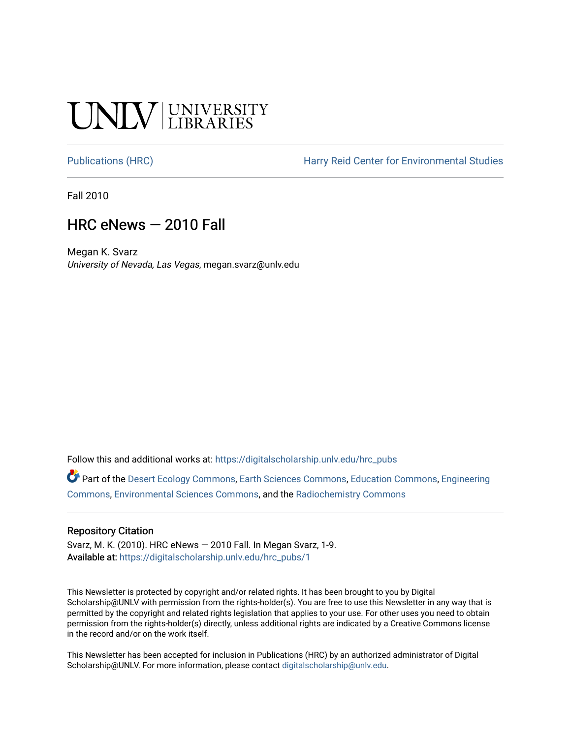## **SALV UNIVERSITY**

[Publications \(HRC\)](https://digitalscholarship.unlv.edu/hrc_pubs) The Harry Reid Center for Environmental Studies

Fall 2010

### HRC eNews — 2010 Fall

Megan K. Svarz University of Nevada, Las Vegas, megan.svarz@unlv.edu

Follow this and additional works at: [https://digitalscholarship.unlv.edu/hrc\\_pubs](https://digitalscholarship.unlv.edu/hrc_pubs?utm_source=digitalscholarship.unlv.edu%2Fhrc_pubs%2F1&utm_medium=PDF&utm_campaign=PDFCoverPages)

Part of the [Desert Ecology Commons,](http://network.bepress.com/hgg/discipline/1261?utm_source=digitalscholarship.unlv.edu%2Fhrc_pubs%2F1&utm_medium=PDF&utm_campaign=PDFCoverPages) [Earth Sciences Commons,](http://network.bepress.com/hgg/discipline/153?utm_source=digitalscholarship.unlv.edu%2Fhrc_pubs%2F1&utm_medium=PDF&utm_campaign=PDFCoverPages) [Education Commons](http://network.bepress.com/hgg/discipline/784?utm_source=digitalscholarship.unlv.edu%2Fhrc_pubs%2F1&utm_medium=PDF&utm_campaign=PDFCoverPages), [Engineering](http://network.bepress.com/hgg/discipline/217?utm_source=digitalscholarship.unlv.edu%2Fhrc_pubs%2F1&utm_medium=PDF&utm_campaign=PDFCoverPages)  [Commons](http://network.bepress.com/hgg/discipline/217?utm_source=digitalscholarship.unlv.edu%2Fhrc_pubs%2F1&utm_medium=PDF&utm_campaign=PDFCoverPages), [Environmental Sciences Commons](http://network.bepress.com/hgg/discipline/167?utm_source=digitalscholarship.unlv.edu%2Fhrc_pubs%2F1&utm_medium=PDF&utm_campaign=PDFCoverPages), and the [Radiochemistry Commons](http://network.bepress.com/hgg/discipline/1196?utm_source=digitalscholarship.unlv.edu%2Fhrc_pubs%2F1&utm_medium=PDF&utm_campaign=PDFCoverPages)

### Repository Citation

Svarz, M. K. (2010). HRC eNews — 2010 Fall. In Megan Svarz, 1-9. Available at: [https://digitalscholarship.unlv.edu/hrc\\_pubs/1](https://digitalscholarship.unlv.edu/hrc_pubs/1)

This Newsletter is protected by copyright and/or related rights. It has been brought to you by Digital Scholarship@UNLV with permission from the rights-holder(s). You are free to use this Newsletter in any way that is permitted by the copyright and related rights legislation that applies to your use. For other uses you need to obtain permission from the rights-holder(s) directly, unless additional rights are indicated by a Creative Commons license in the record and/or on the work itself.

This Newsletter has been accepted for inclusion in Publications (HRC) by an authorized administrator of Digital Scholarship@UNLV. For more information, please contact [digitalscholarship@unlv.edu.](mailto:digitalscholarship@unlv.edu)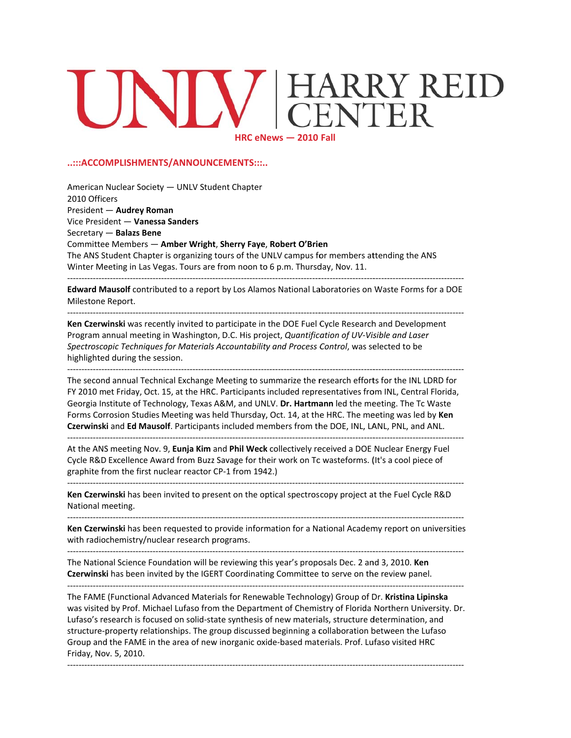# RRY REID **HRC eN ews — 2010 Fall**

#### **..:::ACCOM MPLISHMENT TS/ANNOUN CEMENTS:::.. .**

--------------

‐‐‐‐‐‐‐‐‐‐‐‐‐‐‐‐‐‐‐‐

<mark>...................</mark>

<mark>...................</mark>

‐‐‐‐‐‐‐‐‐‐‐‐‐‐‐‐‐‐‐‐ ‐‐‐‐‐‐‐‐‐‐‐‐‐‐‐‐‐‐‐‐

‐‐‐‐‐‐‐‐‐‐‐‐‐‐‐‐‐‐‐‐

••••••••••••••••••••

••••••••••••••••••••

<mark>-------------</mark>

--------------<br>-

<mark>-------------</mark>

American Nuclear Society — UNLV Student Chapter 2010 Offic ers President — **Audrey Rom man** Vice Presid dent — **Vaness sa Sanders** Secretary — **Balazs Bene** Secretary — **Balazs Bene**<br>Committee Members — <mark>Amber Wright, Sherry Faye, Robert O'Brien</mark> The ANS Student Chapter is organizing tours of the UNLV campus for members attending the ANS Winter Meeting in Las Vegas. Tours are from noon to 6 p.m. Thursday, Nov. 11. --------------‐‐‐‐‐‐‐‐‐‐‐‐‐‐‐‐‐‐‐‐ ‐‐‐‐‐‐‐‐‐‐‐‐‐‐‐‐‐‐‐‐ ••••••••••••••••••• -------------------‐‐‐‐‐‐‐‐‐‐‐‐‐‐‐‐‐‐‐‐ ‐‐‐‐‐‐‐‐‐‐‐‐‐‐‐‐‐‐‐ -------------<br>-

Edward Mausolf contributed to a report by Los Alamos National Laboratories on Waste Forms for a DOE Milestone Report.

<mark>-------------</mark> **Ken Czerwinski** was recently invited to participate in the DOE Fuel Cycle Research and Development Program annual meeting in Washington, D.C. His project, *Quantification of UV-Visible and Laser Spectrosco opic Techniques s for Materials s Accountability y and Process C Control*, was se elected to be highlighted during the session. <mark>...................</mark> •••••••••••••••••••• <mark>..................</mark> <mark>-----------------</mark> •••••••••••••••••••• <mark>..................</mark> -------------<br>-

--------------<br>-The second annual Technical Exchange Meeting to summarize the research efforts for the INL LDRD for FY 2010 met Friday, Oct. 15, at the HRC. Participants included representatives from INL, Central Florida, Georgia Institute of Technology, Texas A&M, and UNLV. Dr. Hartmann led the meeting. The Tc Waste Forms Corrosion Studies Meeting was held Thursday, Oct. 14, at the HRC. The meeting was led by **Ken** Czerwinski and Ed Mausolf. Participants included members from the DOE, INL, LANL, PNL, and ANL. ‐‐‐‐‐‐‐‐‐‐‐‐‐‐‐‐‐‐‐‐ •••••••••••••••••••• ‐‐‐‐‐‐‐‐‐‐‐‐‐‐‐‐‐‐‐ -----------------------------------------‐‐‐‐‐‐‐‐‐‐‐‐‐‐‐‐‐‐‐ ––––––––––––<br>–

<mark>-------------</mark> At the ANS meeting Nov. 9, **Eunja Kim** and **Phil Weck** collectively received a DOE Nuclear Energy Fuel Cycle R&D Excellence Award from Buzz Savage for their work on Tc wasteforms. (It's a cool piece of graphite from the first nuclear reactor CP-1 from 1942.) <mark>...................</mark> •••••••••••••••••••• <mark>..................</mark> <mark>-----------------</mark> •••••••••••••••••••• <mark>..................</mark> -------------<br>-

Ken Czerwinski has been invited to present on the optical spectroscopy project at the Fuel Cycle R&D National m meeting.

•••••••••••••••••••

<mark>..................</mark>

‐‐‐‐‐‐‐‐‐‐‐‐‐‐‐‐‐‐‐

<mark>..................</mark>

Ken Czerwinski has been requested to provide information for a National Academy report on universities with radiochemistry/nuclear research programs.

-------------------

‐‐‐‐‐‐‐‐‐‐‐‐‐‐‐‐‐‐‐‐

‐‐‐‐‐‐‐‐‐‐‐‐‐‐‐‐‐‐‐

-------------<br>-

-------------<br>-

––––––––––––<br>–

-------------<br>-

<mark>..................</mark>

‐‐‐‐‐‐‐‐‐‐‐‐‐‐‐‐‐‐‐

<mark>..................</mark>

••••••••••••••••••••

---------------------

••••••••••••••••••••

<mark>-----------------</mark>

--------------------

<mark>-----------------</mark>

The National Science Foundation will be reviewing this year's proposals Dec. 2 and 3, 2010. **Ken** Czerwinski has been invited by the IGERT Coordinating Committee to serve on the review panel.

‐‐‐‐‐‐‐‐‐‐‐‐‐‐ ‐‐‐‐‐‐‐‐‐‐‐‐‐‐‐‐‐‐‐‐ ‐‐‐‐‐‐‐‐‐‐‐‐‐‐‐‐‐‐‐‐ ‐‐‐‐‐‐‐‐‐‐‐‐‐‐‐‐‐‐‐ The FAME (Functional Advanced Materials for Renewable Technology) Group of Dr. **Kristina Lipinska** was visited by Prof. Michael Lufaso from the Department of Chemistry of Florida Northern University. Dr. Lufaso's research is focused on solid-state synthesis of new materials, structure determination, and structure-property relationships. The group discussed beginning a collaboration between the Lufaso Group and the FAME in the area of new inorganic oxide-based materials. Prof. Lufaso visited HRC Friday, Nov. 5, 2010. <mark>-----------------</mark> •••••••••••••••••••• <mark>..................</mark> -------------<br>-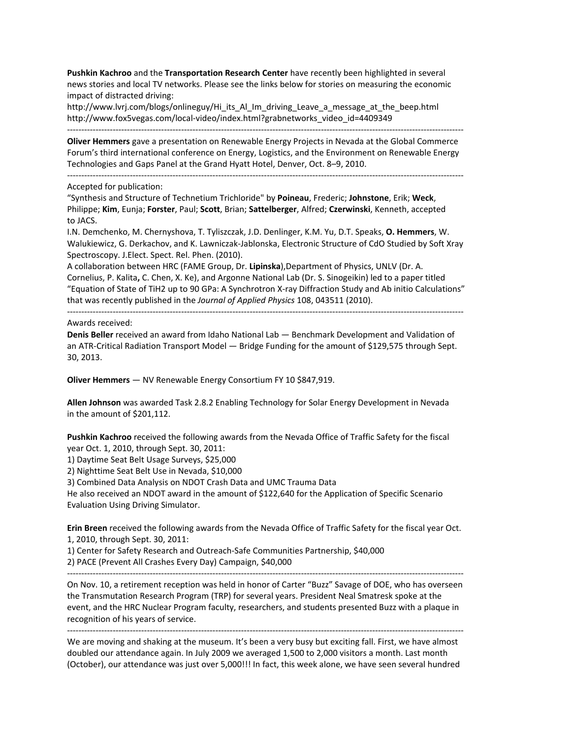**Pushkin Kachroo** and the **Transportation Research Center** have recently been highlighted in several news stories and local TV networks. Please see the links below for stories on measuring the economic impact of distracted driving:

http://www.lvrj.com/blogs/onlineguy/Hi\_its\_Al\_Im\_driving\_Leave\_a\_message\_at\_the\_beep.html http://www.fox5vegas.com/local‐video/index.html?grabnetworks\_video\_id=4409349

**Oliver Hemmers** gave a presentation on Renewable Energy Projects in Nevada at the Global Commerce Forum's third international conference on Energy, Logistics, and the Environment on Renewable Energy Technologies and Gaps Panel at the Grand Hyatt Hotel, Denver, Oct. 8–9, 2010.

‐‐‐‐‐‐‐‐‐‐‐‐‐‐‐‐‐‐‐‐‐‐‐‐‐‐‐‐‐‐‐‐‐‐‐‐‐‐‐‐‐‐‐‐‐‐‐‐‐‐‐‐‐‐‐‐‐‐‐‐‐‐‐‐‐‐‐‐‐‐‐‐‐‐‐‐‐‐‐‐‐‐‐‐‐‐‐‐‐‐‐‐‐‐‐‐‐‐‐‐‐‐‐‐‐‐‐‐‐‐‐‐‐‐‐‐‐‐‐‐‐‐‐‐‐‐‐‐‐‐‐‐‐‐‐‐‐‐‐

‐‐‐‐‐‐‐‐‐‐‐‐‐‐‐‐‐‐‐‐‐‐‐‐‐‐‐‐‐‐‐‐‐‐‐‐‐‐‐‐‐‐‐‐‐‐‐‐‐‐‐‐‐‐‐‐‐‐‐‐‐‐‐‐‐‐‐‐‐‐‐‐‐‐‐‐‐‐‐‐‐‐‐‐‐‐‐‐‐‐‐‐‐‐‐‐‐‐‐‐‐‐‐‐‐‐‐‐‐‐‐‐‐‐‐‐‐‐‐‐‐‐‐‐‐‐‐‐‐‐‐‐‐‐‐‐‐‐‐

Accepted for publication:

"Synthesis and Structure of Technetium Trichloride" by **Poineau**, Frederic; **Johnstone**, Erik; **Weck**, Philippe; **Kim**, Eunja; **Forster**, Paul; **Scott**, Brian; **Sattelberger**, Alfred; **Czerwinski**, Kenneth, accepted to JACS.

I.N. Demchenko, M. Chernyshova, T. Tyliszczak, J.D. Denlinger, K.M. Yu, D.T. Speaks, **O. Hemmers**, W. Walukiewicz, G. Derkachov, and K. Lawniczak‐Jablonska, Electronic Structure of CdO Studied by Soft Xray Spectroscopy. J.Elect. Spect. Rel. Phen. (2010).

A collaboration between HRC (FAME Group, Dr. **Lipinska**),Department of Physics, UNLV (Dr. A. Cornelius, P. Kalita**,** C. Chen, X. Ke), and Argonne National Lab (Dr. S. Sinogeikin) led to a paper titled "Equation of State of TiH2 up to 90 GPa: A Synchrotron X‐ray Diffraction Study and Ab initio Calculations" that was recently published in the *Journal of Applied Physics* 108, 043511 (2010).

‐‐‐‐‐‐‐‐‐‐‐‐‐‐‐‐‐‐‐‐‐‐‐‐‐‐‐‐‐‐‐‐‐‐‐‐‐‐‐‐‐‐‐‐‐‐‐‐‐‐‐‐‐‐‐‐‐‐‐‐‐‐‐‐‐‐‐‐‐‐‐‐‐‐‐‐‐‐‐‐‐‐‐‐‐‐‐‐‐‐‐‐‐‐‐‐‐‐‐‐‐‐‐‐‐‐‐‐‐‐‐‐‐‐‐‐‐‐‐‐‐‐‐‐‐‐‐‐‐‐‐‐‐‐‐‐‐‐‐

Awards received:

**Denis Beller** received an award from Idaho National Lab — Benchmark Development and Validation of an ATR‐Critical Radiation Transport Model — Bridge Funding for the amount of \$129,575 through Sept. 30, 2013.

**Oliver Hemmers** — NV Renewable Energy Consortium FY 10 \$847,919.

**Allen Johnson** was awarded Task 2.8.2 Enabling Technology for Solar Energy Development in Nevada in the amount of \$201,112.

**Pushkin Kachroo** received the following awards from the Nevada Office of Traffic Safety for the fiscal year Oct. 1, 2010, through Sept. 30, 2011:

1) Daytime Seat Belt Usage Surveys, \$25,000

2) Nighttime Seat Belt Use in Nevada, \$10,000

3) Combined Data Analysis on NDOT Crash Data and UMC Trauma Data

He also received an NDOT award in the amount of \$122,640 for the Application of Specific Scenario Evaluation Using Driving Simulator.

**Erin Breen** received the following awards from the Nevada Office of Traffic Safety for the fiscal year Oct. 1, 2010, through Sept. 30, 2011:

1) Center for Safety Research and Outreach‐Safe Communities Partnership, \$40,000

2) PACE (Prevent All Crashes Every Day) Campaign, \$40,000

‐‐‐‐‐‐‐‐‐‐‐‐‐‐‐‐‐‐‐‐‐‐‐‐‐‐‐‐‐‐‐‐‐‐‐‐‐‐‐‐‐‐‐‐‐‐‐‐‐‐‐‐‐‐‐‐‐‐‐‐‐‐‐‐‐‐‐‐‐‐‐‐‐‐‐‐‐‐‐‐‐‐‐‐‐‐‐‐‐‐‐‐‐‐‐‐‐‐‐‐‐‐‐‐‐‐‐‐‐‐‐‐‐‐‐‐‐‐‐‐‐‐‐‐‐‐‐‐‐‐‐‐‐‐‐‐‐‐‐

On Nov. 10, a retirement reception was held in honor of Carter "Buzz" Savage of DOE, who has overseen the Transmutation Research Program (TRP) for several years. President Neal Smatresk spoke at the event, and the HRC Nuclear Program faculty, researchers, and students presented Buzz with a plaque in recognition of his years of service.

‐‐‐‐‐‐‐‐‐‐‐‐‐‐‐‐‐‐‐‐‐‐‐‐‐‐‐‐‐‐‐‐‐‐‐‐‐‐‐‐‐‐‐‐‐‐‐‐‐‐‐‐‐‐‐‐‐‐‐‐‐‐‐‐‐‐‐‐‐‐‐‐‐‐‐‐‐‐‐‐‐‐‐‐‐‐‐‐‐‐‐‐‐‐‐‐‐‐‐‐‐‐‐‐‐‐‐‐‐‐‐‐‐‐‐‐‐‐‐‐‐‐‐‐‐‐‐‐‐‐‐‐‐‐‐‐‐‐‐ We are moving and shaking at the museum. It's been a very busy but exciting fall. First, we have almost doubled our attendance again. In July 2009 we averaged 1,500 to 2,000 visitors a month. Last month (October), our attendance was just over 5,000!!! In fact, this week alone, we have seen several hundred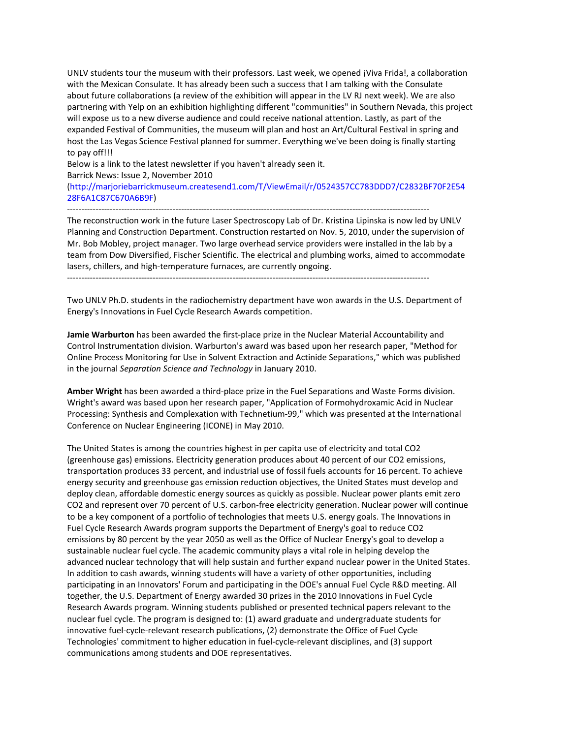UNLV students tour the museum with their professors. Last week, we opened ¡Viva Frida!, a collaboration with the Mexican Consulate. It has already been such a success that I am talking with the Consulate about future collaborations (a review of the exhibition will appear in the LV RJ next week). We are also partnering with Yelp on an exhibition highlighting different "communities" in Southern Nevada, this project will expose us to a new diverse audience and could receive national attention. Lastly, as part of the expanded Festival of Communities, the museum will plan and host an Art/Cultural Festival in spring and host the Las Vegas Science Festival planned for summer. Everything we've been doing is finally starting to pay off!!!

Below is a link to the latest newsletter if you haven't already seen it. Barrick News: Issue 2, November 2010 (http://marjoriebarrickmuseum.createsend1.com/T/ViewEmail/r/0524357CC783DDD7/C2832BF70F2E54 28F6A1C87C670A6B9F)

‐‐‐‐‐‐‐‐‐‐‐‐‐‐‐‐‐‐‐‐‐‐‐‐‐‐‐‐‐‐‐‐‐‐‐‐‐‐‐‐‐‐‐‐‐‐‐‐‐‐‐‐‐‐‐‐‐‐‐‐‐‐‐‐‐‐‐‐‐‐‐‐‐‐‐‐‐‐‐‐‐‐‐‐‐‐‐‐‐‐‐‐‐‐‐‐‐‐‐‐‐‐‐‐‐‐‐‐‐‐‐‐‐‐‐‐‐‐‐‐‐‐‐‐‐‐‐ The reconstruction work in the future Laser Spectroscopy Lab of Dr. Kristina Lipinska is now led by UNLV Planning and Construction Department. Construction restarted on Nov. 5, 2010, under the supervision of Mr. Bob Mobley, project manager. Two large overhead service providers were installed in the lab by a team from Dow Diversified, Fischer Scientific. The electrical and plumbing works, aimed to accommodate lasers, chillers, and high‐temperature furnaces, are currently ongoing.

Two UNLV Ph.D. students in the radiochemistry department have won awards in the U.S. Department of Energy's Innovations in Fuel Cycle Research Awards competition.

**Jamie Warburton** has been awarded the first‐place prize in the Nuclear Material Accountability and Control Instrumentation division. Warburton's award was based upon her research paper, "Method for Online Process Monitoring for Use in Solvent Extraction and Actinide Separations," which was published in the journal *Separation Science and Technology* in January 2010.

**Amber Wright** has been awarded a third‐place prize in the Fuel Separations and Waste Forms division. Wright's award was based upon her research paper, "Application of Formohydroxamic Acid in Nuclear Processing: Synthesis and Complexation with Technetium‐99," which was presented at the International Conference on Nuclear Engineering (ICONE) in May 2010.

The United States is among the countries highest in per capita use of electricity and total CO2 (greenhouse gas) emissions. Electricity generation produces about 40 percent of our CO2 emissions, transportation produces 33 percent, and industrial use of fossil fuels accounts for 16 percent. To achieve energy security and greenhouse gas emission reduction objectives, the United States must develop and deploy clean, affordable domestic energy sources as quickly as possible. Nuclear power plants emit zero CO2 and represent over 70 percent of U.S. carbon‐free electricity generation. Nuclear power will continue to be a key component of a portfolio of technologies that meets U.S. energy goals. The Innovations in Fuel Cycle Research Awards program supports the Department of Energy's goal to reduce CO2 emissions by 80 percent by the year 2050 as well as the Office of Nuclear Energy's goal to develop a sustainable nuclear fuel cycle. The academic community plays a vital role in helping develop the advanced nuclear technology that will help sustain and further expand nuclear power in the United States. In addition to cash awards, winning students will have a variety of other opportunities, including participating in an Innovators' Forum and participating in the DOE's annual Fuel Cycle R&D meeting. All together, the U.S. Department of Energy awarded 30 prizes in the 2010 Innovations in Fuel Cycle Research Awards program. Winning students published or presented technical papers relevant to the nuclear fuel cycle. The program is designed to: (1) award graduate and undergraduate students for innovative fuel‐cycle‐relevant research publications, (2) demonstrate the Office of Fuel Cycle Technologies' commitment to higher education in fuel‐cycle‐relevant disciplines, and (3) support communications among students and DOE representatives.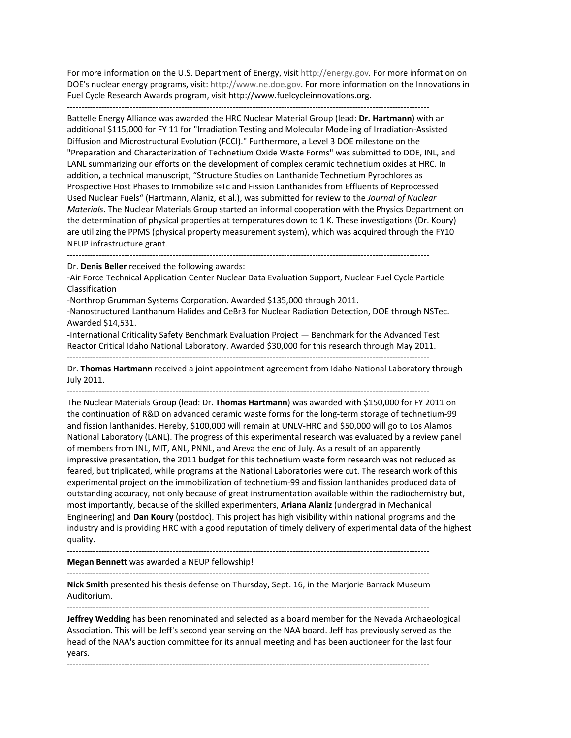For more information on the U.S. Department of Energy, visit http://energy.gov. For more information on DOE's nuclear energy programs, visit: http://www.ne.doe.gov. For more information on the Innovations in Fuel Cycle Research Awards program, visit http://www.fuelcycleinnovations.org.

‐‐‐‐‐‐‐‐‐‐‐‐‐‐‐‐‐‐‐‐‐‐‐‐‐‐‐‐‐‐‐‐‐‐‐‐‐‐‐‐‐‐‐‐‐‐‐‐‐‐‐‐‐‐‐‐‐‐‐‐‐‐‐‐‐‐‐‐‐‐‐‐‐‐‐‐‐‐‐‐‐‐‐‐‐‐‐‐‐‐‐‐‐‐‐‐‐‐‐‐‐‐‐‐‐‐‐‐‐‐‐‐‐‐‐‐‐‐‐‐‐‐‐‐‐‐‐

Battelle Energy Alliance was awarded the HRC Nuclear Material Group (lead: **Dr. Hartmann**) with an additional \$115,000 for FY 11 for "Irradiation Testing and Molecular Modeling of Irradiation‐Assisted Diffusion and Microstructural Evolution (FCCI)." Furthermore, a Level 3 DOE milestone on the "Preparation and Characterization of Technetium Oxide Waste Forms" was submitted to DOE, INL, and LANL summarizing our efforts on the development of complex ceramic technetium oxides at HRC. In addition, a technical manuscript, "Structure Studies on Lanthanide Technetium Pyrochlores as Prospective Host Phases to Immobilize  $99Tc$  and Fission Lanthanides from Effluents of Reprocessed Used Nuclear Fuels" (Hartmann, Alaniz, et al.), was submitted for review to the *Journal of Nuclear Materials*. The Nuclear Materials Group started an informal cooperation with the Physics Department on the determination of physical properties at temperatures down to 1 K. These investigations (Dr. Koury) are utilizing the PPMS (physical property measurement system), which was acquired through the FY10 NEUP infrastructure grant.

‐‐‐‐‐‐‐‐‐‐‐‐‐‐‐‐‐‐‐‐‐‐‐‐‐‐‐‐‐‐‐‐‐‐‐‐‐‐‐‐‐‐‐‐‐‐‐‐‐‐‐‐‐‐‐‐‐‐‐‐‐‐‐‐‐‐‐‐‐‐‐‐‐‐‐‐‐‐‐‐‐‐‐‐‐‐‐‐‐‐‐‐‐‐‐‐‐‐‐‐‐‐‐‐‐‐‐‐‐‐‐‐‐‐‐‐‐‐‐‐‐‐‐‐‐‐‐

Dr. **Denis Beller** received the following awards:

‐Air Force Technical Application Center Nuclear Data Evaluation Support, Nuclear Fuel Cycle Particle Classification

‐Northrop Grumman Systems Corporation. Awarded \$135,000 through 2011.

‐Nanostructured Lanthanum Halides and CeBr3 for Nuclear Radiation Detection, DOE through NSTec. Awarded \$14,531.

‐International Criticality Safety Benchmark Evaluation Project — Benchmark for the Advanced Test Reactor Critical Idaho National Laboratory. Awarded \$30,000 for this research through May 2011.

‐‐‐‐‐‐‐‐‐‐‐‐‐‐‐‐‐‐‐‐‐‐‐‐‐‐‐‐‐‐‐‐‐‐‐‐‐‐‐‐‐‐‐‐‐‐‐‐‐‐‐‐‐‐‐‐‐‐‐‐‐‐‐‐‐‐‐‐‐‐‐‐‐‐‐‐‐‐‐‐‐‐‐‐‐‐‐‐‐‐‐‐‐‐‐‐‐‐‐‐‐‐‐‐‐‐‐‐‐‐‐‐‐‐‐‐‐‐‐‐‐‐‐‐‐‐‐

Dr. **Thomas Hartmann** received a joint appointment agreement from Idaho National Laboratory through July 2011.

‐‐‐‐‐‐‐‐‐‐‐‐‐‐‐‐‐‐‐‐‐‐‐‐‐‐‐‐‐‐‐‐‐‐‐‐‐‐‐‐‐‐‐‐‐‐‐‐‐‐‐‐‐‐‐‐‐‐‐‐‐‐‐‐‐‐‐‐‐‐‐‐‐‐‐‐‐‐‐‐‐‐‐‐‐‐‐‐‐‐‐‐‐‐‐‐‐‐‐‐‐‐‐‐‐‐‐‐‐‐‐‐‐‐‐‐‐‐‐‐‐‐‐‐‐‐‐

The Nuclear Materials Group (lead: Dr. **Thomas Hartmann**) was awarded with \$150,000 for FY 2011 on the continuation of R&D on advanced ceramic waste forms for the long-term storage of technetium-99 and fission lanthanides. Hereby, \$100,000 will remain at UNLV-HRC and \$50,000 will go to Los Alamos National Laboratory (LANL). The progress of this experimental research was evaluated by a review panel of members from INL, MIT, ANL, PNNL, and Areva the end of July. As a result of an apparently impressive presentation, the 2011 budget for this technetium waste form research was not reduced as feared, but triplicated, while programs at the National Laboratories were cut. The research work of this experimental project on the immobilization of technetium‐99 and fission lanthanides produced data of outstanding accuracy, not only because of great instrumentation available within the radiochemistry but, most importantly, because of the skilled experimenters, **Ariana Alaniz** (undergrad in Mechanical Engineering) and **Dan Koury** (postdoc). This project has high visibility within national programs and the industry and is providing HRC with a good reputation of timely delivery of experimental data of the highest quality.

‐‐‐‐‐‐‐‐‐‐‐‐‐‐‐‐‐‐‐‐‐‐‐‐‐‐‐‐‐‐‐‐‐‐‐‐‐‐‐‐‐‐‐‐‐‐‐‐‐‐‐‐‐‐‐‐‐‐‐‐‐‐‐‐‐‐‐‐‐‐‐‐‐‐‐‐‐‐‐‐‐‐‐‐‐‐‐‐‐‐‐‐‐‐‐‐‐‐‐‐‐‐‐‐‐‐‐‐‐‐‐‐‐‐‐‐‐‐‐‐‐‐‐‐‐‐‐

**Megan Bennett** was awarded a NEUP fellowship!

‐‐‐‐‐‐‐‐‐‐‐‐‐‐‐‐‐‐‐‐‐‐‐‐‐‐‐‐‐‐‐‐‐‐‐‐‐‐‐‐‐‐‐‐‐‐‐‐‐‐‐‐‐‐‐‐‐‐‐‐‐‐‐‐‐‐‐‐‐‐‐‐‐‐‐‐‐‐‐‐‐‐‐‐‐‐‐‐‐‐‐‐‐‐‐‐‐‐‐‐‐‐‐‐‐‐‐‐‐‐‐‐‐‐‐‐‐‐‐‐‐‐‐‐‐‐‐ **Nick Smith** presented his thesis defense on Thursday, Sept. 16, in the Marjorie Barrack Museum Auditorium.

‐‐‐‐‐‐‐‐‐‐‐‐‐‐‐‐‐‐‐‐‐‐‐‐‐‐‐‐‐‐‐‐‐‐‐‐‐‐‐‐‐‐‐‐‐‐‐‐‐‐‐‐‐‐‐‐‐‐‐‐‐‐‐‐‐‐‐‐‐‐‐‐‐‐‐‐‐‐‐‐‐‐‐‐‐‐‐‐‐‐‐‐‐‐‐‐‐‐‐‐‐‐‐‐‐‐‐‐‐‐‐‐‐‐‐‐‐‐‐‐‐‐‐‐‐‐‐

**Jeffrey Wedding** has been renominated and selected as a board member for the Nevada Archaeological Association. This will be Jeff's second year serving on the NAA board. Jeff has previously served as the head of the NAA's auction committee for its annual meeting and has been auctioneer for the last four years.

‐‐‐‐‐‐‐‐‐‐‐‐‐‐‐‐‐‐‐‐‐‐‐‐‐‐‐‐‐‐‐‐‐‐‐‐‐‐‐‐‐‐‐‐‐‐‐‐‐‐‐‐‐‐‐‐‐‐‐‐‐‐‐‐‐‐‐‐‐‐‐‐‐‐‐‐‐‐‐‐‐‐‐‐‐‐‐‐‐‐‐‐‐‐‐‐‐‐‐‐‐‐‐‐‐‐‐‐‐‐‐‐‐‐‐‐‐‐‐‐‐‐‐‐‐‐‐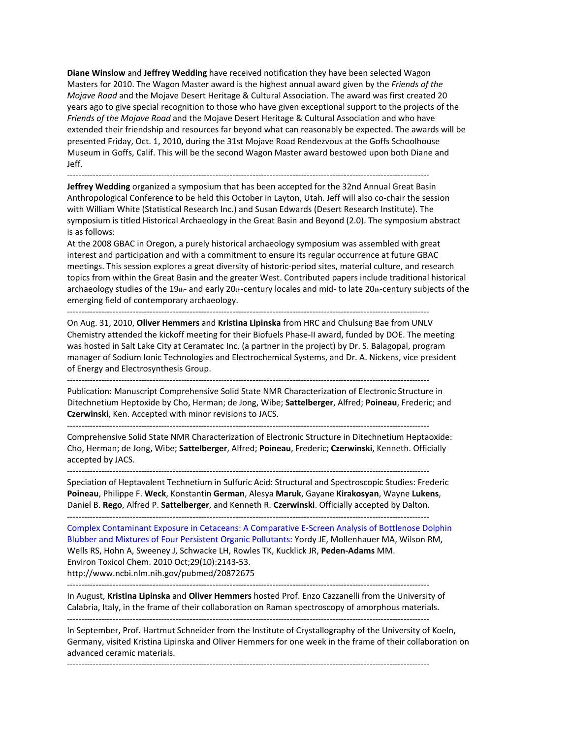**Diane Winslow** and **Jeffrey Wedding** have received notification they have been selected Wagon Masters for 2010. The Wagon Master award is the highest annual award given by the *Friends of the Mojave Road* and the Mojave Desert Heritage & Cultural Association. The award was first created 20 years ago to give special recognition to those who have given exceptional support to the projects of the *Friends of the Mojave Road* and the Mojave Desert Heritage & Cultural Association and who have extended their friendship and resources far beyond what can reasonably be expected. The awards will be presented Friday, Oct. 1, 2010, during the 31st Mojave Road Rendezvous at the Goffs Schoolhouse Museum in Goffs, Calif. This will be the second Wagon Master award bestowed upon both Diane and Jeff.

‐‐‐‐‐‐‐‐‐‐‐‐‐‐‐‐‐‐‐‐‐‐‐‐‐‐‐‐‐‐‐‐‐‐‐‐‐‐‐‐‐‐‐‐‐‐‐‐‐‐‐‐‐‐‐‐‐‐‐‐‐‐‐‐‐‐‐‐‐‐‐‐‐‐‐‐‐‐‐‐‐‐‐‐‐‐‐‐‐‐‐‐‐‐‐‐‐‐‐‐‐‐‐‐‐‐‐‐‐‐‐‐‐‐‐‐‐‐‐‐‐‐‐‐‐‐‐

**Jeffrey Wedding** organized a symposium that has been accepted for the 32nd Annual Great Basin Anthropological Conference to be held this October in Layton, Utah. Jeff will also co‐chair the session with William White (Statistical Research Inc.) and Susan Edwards (Desert Research Institute). The symposium is titled Historical Archaeology in the Great Basin and Beyond (2.0). The symposium abstract is as follows:

At the 2008 GBAC in Oregon, a purely historical archaeology symposium was assembled with great interest and participation and with a commitment to ensure its regular occurrence at future GBAC meetings. This session explores a great diversity of historic‐period sites, material culture, and research topics from within the Great Basin and the greater West. Contributed papers include traditional historical archaeology studies of the 19th- and early 20th-century locales and mid- to late 20th-century subjects of the emerging field of contemporary archaeology.

‐‐‐‐‐‐‐‐‐‐‐‐‐‐‐‐‐‐‐‐‐‐‐‐‐‐‐‐‐‐‐‐‐‐‐‐‐‐‐‐‐‐‐‐‐‐‐‐‐‐‐‐‐‐‐‐‐‐‐‐‐‐‐‐‐‐‐‐‐‐‐‐‐‐‐‐‐‐‐‐‐‐‐‐‐‐‐‐‐‐‐‐‐‐‐‐‐‐‐‐‐‐‐‐‐‐‐‐‐‐‐‐‐‐‐‐‐‐‐‐‐‐‐‐‐‐‐

On Aug. 31, 2010, **Oliver Hemmers** and **Kristina Lipinska** from HRC and Chulsung Bae from UNLV Chemistry attended the kickoff meeting for their Biofuels Phase‐II award, funded by DOE. The meeting was hosted in Salt Lake City at Ceramatec Inc. (a partner in the project) by Dr. S. Balagopal, program manager of Sodium Ionic Technologies and Electrochemical Systems, and Dr. A. Nickens, vice president of Energy and Electrosynthesis Group.

‐‐‐‐‐‐‐‐‐‐‐‐‐‐‐‐‐‐‐‐‐‐‐‐‐‐‐‐‐‐‐‐‐‐‐‐‐‐‐‐‐‐‐‐‐‐‐‐‐‐‐‐‐‐‐‐‐‐‐‐‐‐‐‐‐‐‐‐‐‐‐‐‐‐‐‐‐‐‐‐‐‐‐‐‐‐‐‐‐‐‐‐‐‐‐‐‐‐‐‐‐‐‐‐‐‐‐‐‐‐‐‐‐‐‐‐‐‐‐‐‐‐‐‐‐‐‐

‐‐‐‐‐‐‐‐‐‐‐‐‐‐‐‐‐‐‐‐‐‐‐‐‐‐‐‐‐‐‐‐‐‐‐‐‐‐‐‐‐‐‐‐‐‐‐‐‐‐‐‐‐‐‐‐‐‐‐‐‐‐‐‐‐‐‐‐‐‐‐‐‐‐‐‐‐‐‐‐‐‐‐‐‐‐‐‐‐‐‐‐‐‐‐‐‐‐‐‐‐‐‐‐‐‐‐‐‐‐‐‐‐‐‐‐‐‐‐‐‐‐‐‐‐‐‐

‐‐‐‐‐‐‐‐‐‐‐‐‐‐‐‐‐‐‐‐‐‐‐‐‐‐‐‐‐‐‐‐‐‐‐‐‐‐‐‐‐‐‐‐‐‐‐‐‐‐‐‐‐‐‐‐‐‐‐‐‐‐‐‐‐‐‐‐‐‐‐‐‐‐‐‐‐‐‐‐‐‐‐‐‐‐‐‐‐‐‐‐‐‐‐‐‐‐‐‐‐‐‐‐‐‐‐‐‐‐‐‐‐‐‐‐‐‐‐‐‐‐‐‐‐‐‐

Publication: Manuscript Comprehensive Solid State NMR Characterization of Electronic Structure in Ditechnetium Heptoxide by Cho, Herman; de Jong, Wibe; **Sattelberger**, Alfred; **Poineau**, Frederic; and **Czerwinski**, Ken. Accepted with minor revisions to JACS.

Comprehensive Solid State NMR Characterization of Electronic Structure in Ditechnetium Heptaoxide: Cho, Herman; de Jong, Wibe; **Sattelberger**, Alfred; **Poineau**, Frederic; **Czerwinski**, Kenneth. Officially accepted by JACS.

Speciation of Heptavalent Technetium in Sulfuric Acid: Structural and Spectroscopic Studies: Frederic **Poineau**, Philippe F. **Weck**, Konstantin **German**, Alesya **Maruk**, Gayane **Kirakosyan**, Wayne **Lukens**, Daniel B. **Rego**, Alfred P. **Sattelberger**, and Kenneth R. **Czerwinski**. Officially accepted by Dalton. ‐‐‐‐‐‐‐‐‐‐‐‐‐‐‐‐‐‐‐‐‐‐‐‐‐‐‐‐‐‐‐‐‐‐‐‐‐‐‐‐‐‐‐‐‐‐‐‐‐‐‐‐‐‐‐‐‐‐‐‐‐‐‐‐‐‐‐‐‐‐‐‐‐‐‐‐‐‐‐‐‐‐‐‐‐‐‐‐‐‐‐‐‐‐‐‐‐‐‐‐‐‐‐‐‐‐‐‐‐‐‐‐‐‐‐‐‐‐‐‐‐‐‐‐‐‐‐

Complex Contaminant Exposure in Cetaceans: A Comparative E‐Screen Analysis of Bottlenose Dolphin Blubber and Mixtures of Four Persistent Organic Pollutants: Yordy JE, Mollenhauer MA, Wilson RM, Wells RS, Hohn A, Sweeney J, Schwacke LH, Rowles TK, Kucklick JR, **Peden‐Adams** MM. Environ Toxicol Chem. 2010 Oct;29(10):2143‐53.

http://www.ncbi.nlm.nih.gov/pubmed/20872675

‐‐‐‐‐‐‐‐‐‐‐‐‐‐‐‐‐‐‐‐‐‐‐‐‐‐‐‐‐‐‐‐‐‐‐‐‐‐‐‐‐‐‐‐‐‐‐‐‐‐‐‐‐‐‐‐‐‐‐‐‐‐‐‐‐‐‐‐‐‐‐‐‐‐‐‐‐‐‐‐‐‐‐‐‐‐‐‐‐‐‐‐‐‐‐‐‐‐‐‐‐‐‐‐‐‐‐‐‐‐‐‐‐‐‐‐‐‐‐‐‐‐‐‐‐‐‐ In August, **Kristina Lipinska** and **Oliver Hemmers** hosted Prof. Enzo Cazzanelli from the University of Calabria, Italy, in the frame of their collaboration on Raman spectroscopy of amorphous materials. ‐‐‐‐‐‐‐‐‐‐‐‐‐‐‐‐‐‐‐‐‐‐‐‐‐‐‐‐‐‐‐‐‐‐‐‐‐‐‐‐‐‐‐‐‐‐‐‐‐‐‐‐‐‐‐‐‐‐‐‐‐‐‐‐‐‐‐‐‐‐‐‐‐‐‐‐‐‐‐‐‐‐‐‐‐‐‐‐‐‐‐‐‐‐‐‐‐‐‐‐‐‐‐‐‐‐‐‐‐‐‐‐‐‐‐‐‐‐‐‐‐‐‐‐‐‐‐

In September, Prof. Hartmut Schneider from the Institute of Crystallography of the University of Koeln, Germany, visited Kristina Lipinska and Oliver Hemmers for one week in the frame of their collaboration on advanced ceramic materials.

‐‐‐‐‐‐‐‐‐‐‐‐‐‐‐‐‐‐‐‐‐‐‐‐‐‐‐‐‐‐‐‐‐‐‐‐‐‐‐‐‐‐‐‐‐‐‐‐‐‐‐‐‐‐‐‐‐‐‐‐‐‐‐‐‐‐‐‐‐‐‐‐‐‐‐‐‐‐‐‐‐‐‐‐‐‐‐‐‐‐‐‐‐‐‐‐‐‐‐‐‐‐‐‐‐‐‐‐‐‐‐‐‐‐‐‐‐‐‐‐‐‐‐‐‐‐‐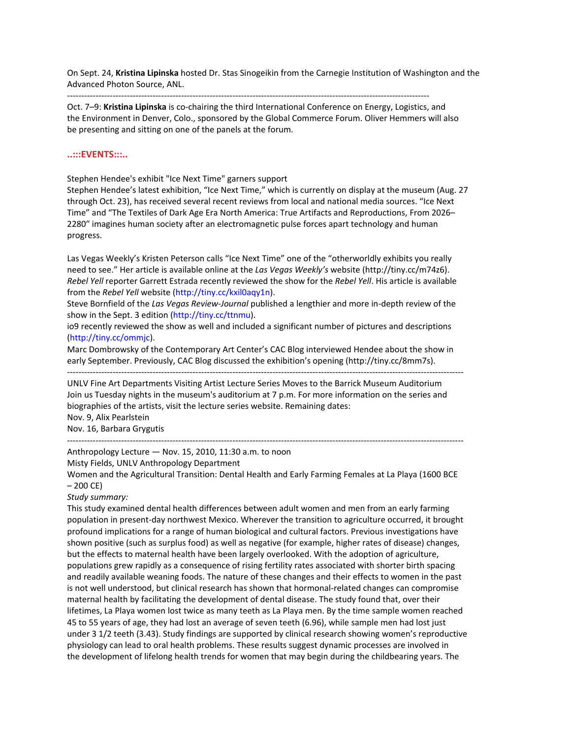On Sept. 24, **Kristina Lipinska** hosted Dr. Stas Sinogeikin from the Carnegie Institution of Washington and the Advanced Photon Source, ANL.

‐‐‐‐‐‐‐‐‐‐‐‐‐‐‐‐‐‐‐‐‐‐‐‐‐‐‐‐‐‐‐‐‐‐‐‐‐‐‐‐‐‐‐‐‐‐‐‐‐‐‐‐‐‐‐‐‐‐‐‐‐‐‐‐‐‐‐‐‐‐‐‐‐‐‐‐‐‐‐‐‐‐‐‐‐‐‐‐‐‐‐‐‐‐‐‐‐‐‐‐‐‐‐‐‐‐‐‐‐‐‐‐‐‐‐‐‐‐‐‐‐‐‐‐‐‐‐

Oct. 7–9: **Kristina Lipinska** is co‐chairing the third International Conference on Energy, Logistics, and the Environment in Denver, Colo., sponsored by the Global Commerce Forum. Oliver Hemmers will also be presenting and sitting on one of the panels at the forum.

#### **..:::EVENTS:::..**

Stephen Hendee's exhibit "Ice Next Time" garners support

Stephen Hendee's latest exhibition, "Ice Next Time," which is currently on display at the museum (Aug. 27 through Oct. 23), has received several recent reviews from local and national media sources. "Ice Next Time" and "The Textiles of Dark Age Era North America: True Artifacts and Reproductions, From 2026– 2280″ imagines human society after an electromagnetic pulse forces apart technology and human progress.

Las Vegas Weekly's Kristen Peterson calls "Ice Next Time" one of the "otherworldly exhibits you really need to see." Her article is available online at the *Las Vegas Weekly's* website (http://tiny.cc/m74z6). *Rebel Yell* reporter Garrett Estrada recently reviewed the show for the *Rebel Yell*. His article is available from the *Rebel Yell* website (http://tiny.cc/kxil0aqy1n).

Steve Bornfield of the *Las Vegas Review‐Journal* published a lengthier and more in‐depth review of the show in the Sept. 3 edition (http://tiny.cc/ttnmu).

io9 recently reviewed the show as well and included a significant number of pictures and descriptions (http://tiny.cc/ommjc).

Marc Dombrowsky of the Contemporary Art Center's CAC Blog interviewed Hendee about the show in early September. Previously, CAC Blog discussed the exhibition's opening (http://tiny.cc/8mm7s).

‐‐‐‐‐‐‐‐‐‐‐‐‐‐‐‐‐‐‐‐‐‐‐‐‐‐‐‐‐‐‐‐‐‐‐‐‐‐‐‐‐‐‐‐‐‐‐‐‐‐‐‐‐‐‐‐‐‐‐‐‐‐‐‐‐‐‐‐‐‐‐‐‐‐‐‐‐‐‐‐‐‐‐‐‐‐‐‐‐‐‐‐‐‐‐‐‐‐‐‐‐‐‐‐‐‐‐‐‐‐‐‐‐‐‐‐‐‐‐‐‐‐‐‐‐‐‐‐‐‐‐‐‐‐‐‐‐‐‐

UNLV Fine Art Departments Visiting Artist Lecture Series Moves to the Barrick Museum Auditorium Join us Tuesday nights in the museum's auditorium at 7 p.m. For more information on the series and biographies of the artists, visit the lecture series website. Remaining dates:

Nov. 9, Alix Pearlstein Nov. 16, Barbara Grygutis

Anthropology Lecture — Nov. 15, 2010, 11:30 a.m. to noon

Misty Fields, UNLV Anthropology Department

Women and the Agricultural Transition: Dental Health and Early Farming Females at La Playa (1600 BCE – 200 CE)

‐‐‐‐‐‐‐‐‐‐‐‐‐‐‐‐‐‐‐‐‐‐‐‐‐‐‐‐‐‐‐‐‐‐‐‐‐‐‐‐‐‐‐‐‐‐‐‐‐‐‐‐‐‐‐‐‐‐‐‐‐‐‐‐‐‐‐‐‐‐‐‐‐‐‐‐‐‐‐‐‐‐‐‐‐‐‐‐‐‐‐‐‐‐‐‐‐‐‐‐‐‐‐‐‐‐‐‐‐‐‐‐‐‐‐‐‐‐‐‐‐‐‐‐‐‐‐‐‐‐‐‐‐‐‐‐‐‐‐

#### *Study summary:*

This study examined dental health differences between adult women and men from an early farming population in present‐day northwest Mexico. Wherever the transition to agriculture occurred, it brought profound implications for a range of human biological and cultural factors. Previous investigations have shown positive (such as surplus food) as well as negative (for example, higher rates of disease) changes, but the effects to maternal health have been largely overlooked. With the adoption of agriculture, populations grew rapidly as a consequence of rising fertility rates associated with shorter birth spacing and readily available weaning foods. The nature of these changes and their effects to women in the past is not well understood, but clinical research has shown that hormonal-related changes can compromise maternal health by facilitating the development of dental disease. The study found that, over their lifetimes, La Playa women lost twice as many teeth as La Playa men. By the time sample women reached 45 to 55 years of age, they had lost an average of seven teeth (6.96), while sample men had lost just under 3 1/2 teeth (3.43). Study findings are supported by clinical research showing women's reproductive physiology can lead to oral health problems. These results suggest dynamic processes are involved in the development of lifelong health trends for women that may begin during the childbearing years. The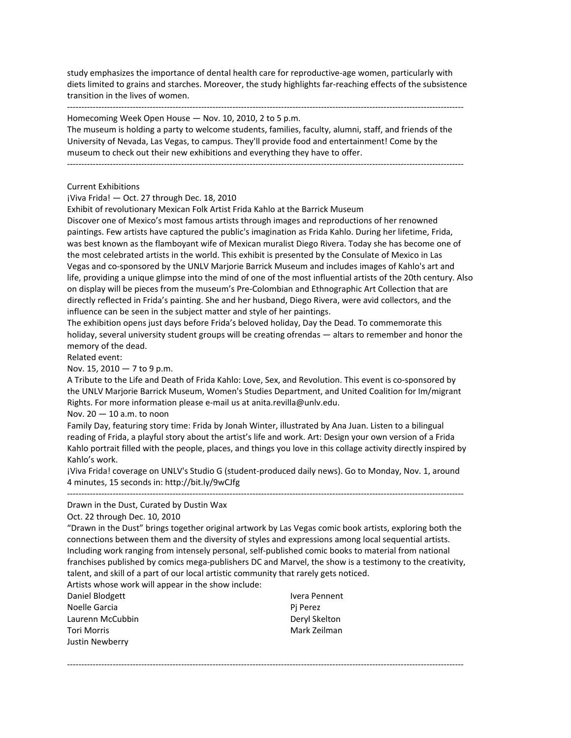study emphasizes the importance of dental health care for reproductive‐age women, particularly with diets limited to grains and starches. Moreover, the study highlights far-reaching effects of the subsistence transition in the lives of women.

‐‐‐‐‐‐‐‐‐‐‐‐‐‐‐‐‐‐‐‐‐‐‐‐‐‐‐‐‐‐‐‐‐‐‐‐‐‐‐‐‐‐‐‐‐‐‐‐‐‐‐‐‐‐‐‐‐‐‐‐‐‐‐‐‐‐‐‐‐‐‐‐‐‐‐‐‐‐‐‐‐‐‐‐‐‐‐‐‐‐‐‐‐‐‐‐‐‐‐‐‐‐‐‐‐‐‐‐‐‐‐‐‐‐‐‐‐‐‐‐‐‐‐‐‐‐‐‐‐‐‐‐‐‐‐‐‐‐‐

Homecoming Week Open House — Nov. 10, 2010, 2 to 5 p.m.

The museum is holding a party to welcome students, families, faculty, alumni, staff, and friends of the University of Nevada, Las Vegas, to campus. They'll provide food and entertainment! Come by the museum to check out their new exhibitions and everything they have to offer.

‐‐‐‐‐‐‐‐‐‐‐‐‐‐‐‐‐‐‐‐‐‐‐‐‐‐‐‐‐‐‐‐‐‐‐‐‐‐‐‐‐‐‐‐‐‐‐‐‐‐‐‐‐‐‐‐‐‐‐‐‐‐‐‐‐‐‐‐‐‐‐‐‐‐‐‐‐‐‐‐‐‐‐‐‐‐‐‐‐‐‐‐‐‐‐‐‐‐‐‐‐‐‐‐‐‐‐‐‐‐‐‐‐‐‐‐‐‐‐‐‐‐‐‐‐‐‐‐‐‐‐‐‐‐‐‐‐‐‐

Current Exhibitions

¡Viva Frida! — Oct. 27 through Dec. 18, 2010

Exhibit of revolutionary Mexican Folk Artist Frida Kahlo at the Barrick Museum

Discover one of Mexico's most famous artists through images and reproductions of her renowned paintings. Few artists have captured the public's imagination as Frida Kahlo. During her lifetime, Frida, was best known as the flamboyant wife of Mexican muralist Diego Rivera. Today she has become one of the most celebrated artists in the world. This exhibit is presented by the Consulate of Mexico in Las Vegas and co‐sponsored by the UNLV Marjorie Barrick Museum and includes images of Kahlo's art and life, providing a unique glimpse into the mind of one of the most influential artists of the 20th century. Also on display will be pieces from the museum's Pre‐Colombian and Ethnographic Art Collection that are directly reflected in Frida's painting. She and her husband, Diego Rivera, were avid collectors, and the influence can be seen in the subject matter and style of her paintings.

The exhibition opens just days before Frida's beloved holiday, Day the Dead. To commemorate this holiday, several university student groups will be creating ofrendas — altars to remember and honor the memory of the dead.

Related event:

Nov. 15, 2010 — 7 to 9 p.m.

A Tribute to the Life and Death of Frida Kahlo: Love, Sex, and Revolution. This event is co‐sponsored by the UNLV Marjorie Barrick Museum, Women's Studies Department, and United Coalition for Im/migrant Rights. For more information please e‐mail us at anita.revilla@unlv.edu.

Nov. 20 — 10 a.m. to noon

Family Day, featuring story time: Frida by Jonah Winter, illustrated by Ana Juan. Listen to a bilingual reading of Frida, a playful story about the artist's life and work. Art: Design your own version of a Frida Kahlo portrait filled with the people, places, and things you love in this collage activity directly inspired by Kahlo's work.

¡Viva Frida! coverage on UNLV's Studio G (student‐produced daily news). Go to Monday, Nov. 1, around 4 minutes, 15 seconds in: http://bit.ly/9wCJfg ‐‐‐‐‐‐‐‐‐‐‐‐‐‐‐‐‐‐‐‐‐‐‐‐‐‐‐‐‐‐‐‐‐‐‐‐‐‐‐‐‐‐‐‐‐‐‐‐‐‐‐‐‐‐‐‐‐‐‐‐‐‐‐‐‐‐‐‐‐‐‐‐‐‐‐‐‐‐‐‐‐‐‐‐‐‐‐‐‐‐‐‐‐‐‐‐‐‐‐‐‐‐‐‐‐‐‐‐‐‐‐‐‐‐‐‐‐‐‐‐‐‐‐‐‐‐‐‐‐‐‐‐‐‐‐‐‐‐‐

Drawn in the Dust, Curated by Dustin Wax

Oct. 22 through Dec. 10, 2010

"Drawn in the Dust" brings together original artwork by Las Vegas comic book artists, exploring both the connections between them and the diversity of styles and expressions among local sequential artists. Including work ranging from intensely personal, self‐published comic books to material from national franchises published by comics mega‐publishers DC and Marvel, the show is a testimony to the creativity, talent, and skill of a part of our local artistic community that rarely gets noticed.

‐‐‐‐‐‐‐‐‐‐‐‐‐‐‐‐‐‐‐‐‐‐‐‐‐‐‐‐‐‐‐‐‐‐‐‐‐‐‐‐‐‐‐‐‐‐‐‐‐‐‐‐‐‐‐‐‐‐‐‐‐‐‐‐‐‐‐‐‐‐‐‐‐‐‐‐‐‐‐‐‐‐‐‐‐‐‐‐‐‐‐‐‐‐‐‐‐‐‐‐‐‐‐‐‐‐‐‐‐‐‐‐‐‐‐‐‐‐‐‐‐‐‐‐‐‐‐‐‐‐‐‐‐‐‐‐‐‐‐

Artists whose work will appear in the show include:

Daniel Blodgett Noelle Garcia Laurenn McCubbin Tori Morris Justin Newberry

Ivera Pennent Pj Perez Deryl Skelton Mark Zeilman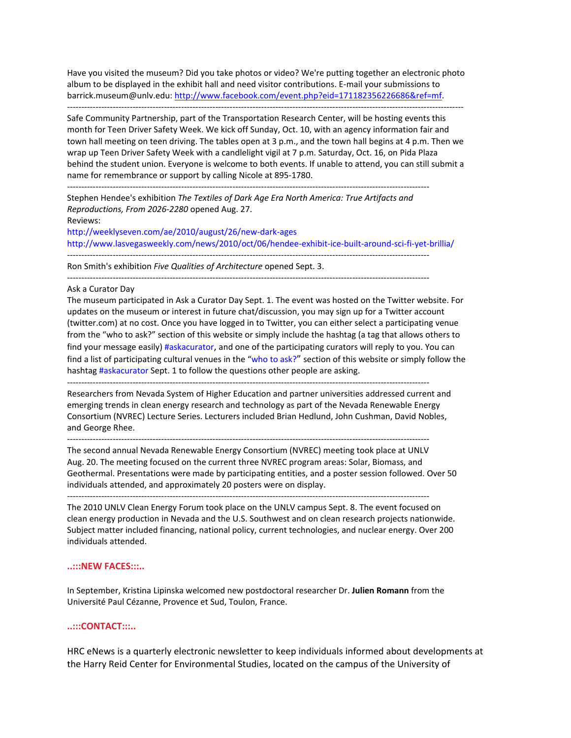Have you visited the museum? Did you take photos or video? We're putting together an electronic photo album to be displayed in the exhibit hall and need visitor contributions. E‐mail your submissions to barrick.museum@unlv.edu: http://www.facebook.com/event.php?eid=171182356226686&ref=mf.

‐‐‐‐‐‐‐‐‐‐‐‐‐‐‐‐‐‐‐‐‐‐‐‐‐‐‐‐‐‐‐‐‐‐‐‐‐‐‐‐‐‐‐‐‐‐‐‐‐‐‐‐‐‐‐‐‐‐‐‐‐‐‐‐‐‐‐‐‐‐‐‐‐‐‐‐‐‐‐‐‐‐‐‐‐‐‐‐‐‐‐‐‐‐‐‐‐‐‐‐‐‐‐‐‐‐‐‐‐‐‐‐‐‐‐‐‐‐‐‐‐‐‐‐‐‐‐‐‐‐‐‐‐‐‐‐‐‐‐

Safe Community Partnership, part of the Transportation Research Center, will be hosting events this month for Teen Driver Safety Week. We kick off Sunday, Oct. 10, with an agency information fair and town hall meeting on teen driving. The tables open at 3 p.m., and the town hall begins at 4 p.m. Then we wrap up Teen Driver Safety Week with a candlelight vigil at 7 p.m. Saturday, Oct. 16, on Pida Plaza behind the student union. Everyone is welcome to both events. If unable to attend, you can still submit a name for remembrance or support by calling Nicole at 895‐1780.

‐‐‐‐‐‐‐‐‐‐‐‐‐‐‐‐‐‐‐‐‐‐‐‐‐‐‐‐‐‐‐‐‐‐‐‐‐‐‐‐‐‐‐‐‐‐‐‐‐‐‐‐‐‐‐‐‐‐‐‐‐‐‐‐‐‐‐‐‐‐‐‐‐‐‐‐‐‐‐‐‐‐‐‐‐‐‐‐‐‐‐‐‐‐‐‐‐‐‐‐‐‐‐‐‐‐‐‐‐‐‐‐‐‐‐‐‐‐‐‐‐‐‐‐‐‐‐

Stephen Hendee's exhibition *The Textiles of Dark Age Era North America: True Artifacts and Reproductions, From 2026‐2280* opened Aug. 27. Reviews:

http://weeklyseven.com/ae/2010/august/26/new‐dark‐ages http://www.lasvegasweekly.com/news/2010/oct/06/hendee-exhibit-ice-built-around-sci-fi-yet-brillia/ ‐‐‐‐‐‐‐‐‐‐‐‐‐‐‐‐‐‐‐‐‐‐‐‐‐‐‐‐‐‐‐‐‐‐‐‐‐‐‐‐‐‐‐‐‐‐‐‐‐‐‐‐‐‐‐‐‐‐‐‐‐‐‐‐‐‐‐‐‐‐‐‐‐‐‐‐‐‐‐‐‐‐‐‐‐‐‐‐‐‐‐‐‐‐‐‐‐‐‐‐‐‐‐‐‐‐‐‐‐‐‐‐‐‐‐‐‐‐‐‐‐‐‐‐‐‐‐

Ron Smith's exhibition *Five Qualities of Architecture* opened Sept. 3.

‐‐‐‐‐‐‐‐‐‐‐‐‐‐‐‐‐‐‐‐‐‐‐‐‐‐‐‐‐‐‐‐‐‐‐‐‐‐‐‐‐‐‐‐‐‐‐‐‐‐‐‐‐‐‐‐‐‐‐‐‐‐‐‐‐‐‐‐‐‐‐‐‐‐‐‐‐‐‐‐‐‐‐‐‐‐‐‐‐‐‐‐‐‐‐‐‐‐‐‐‐‐‐‐‐‐‐‐‐‐‐‐‐‐‐‐‐‐‐‐‐‐‐‐‐‐‐

#### Ask a Curator Day

The museum participated in Ask a Curator Day Sept. 1. The event was hosted on the Twitter website. For updates on the museum or interest in future chat/discussion, you may sign up for a Twitter account (twitter.com) at no cost. Once you have logged in to Twitter, you can either select a participating venue from the "who to ask?" section of this website or simply include the hashtag (a tag that allows others to find your message easily) #askacurator, and one of the participating curators will reply to you. You can find a list of participating cultural venues in the "who to ask?" section of this website or simply follow the hashtag #askacurator Sept. 1 to follow the questions other people are asking.

Researchers from Nevada System of Higher Education and partner universities addressed current and emerging trends in clean energy research and technology as part of the Nevada Renewable Energy Consortium (NVREC) Lecture Series. Lecturers included Brian Hedlund, John Cushman, David Nobles, and George Rhee.

‐‐‐‐‐‐‐‐‐‐‐‐‐‐‐‐‐‐‐‐‐‐‐‐‐‐‐‐‐‐‐‐‐‐‐‐‐‐‐‐‐‐‐‐‐‐‐‐‐‐‐‐‐‐‐‐‐‐‐‐‐‐‐‐‐‐‐‐‐‐‐‐‐‐‐‐‐‐‐‐‐‐‐‐‐‐‐‐‐‐‐‐‐‐‐‐‐‐‐‐‐‐‐‐‐‐‐‐‐‐‐‐‐‐‐‐‐‐‐‐‐‐‐‐‐‐‐

‐‐‐‐‐‐‐‐‐‐‐‐‐‐‐‐‐‐‐‐‐‐‐‐‐‐‐‐‐‐‐‐‐‐‐‐‐‐‐‐‐‐‐‐‐‐‐‐‐‐‐‐‐‐‐‐‐‐‐‐‐‐‐‐‐‐‐‐‐‐‐‐‐‐‐‐‐‐‐‐‐‐‐‐‐‐‐‐‐‐‐‐‐‐‐‐‐‐‐‐‐‐‐‐‐‐‐‐‐‐‐‐‐‐‐‐‐‐‐‐‐‐‐‐‐‐‐

‐‐‐‐‐‐‐‐‐‐‐‐‐‐‐‐‐‐‐‐‐‐‐‐‐‐‐‐‐‐‐‐‐‐‐‐‐‐‐‐‐‐‐‐‐‐‐‐‐‐‐‐‐‐‐‐‐‐‐‐‐‐‐‐‐‐‐‐‐‐‐‐‐‐‐‐‐‐‐‐‐‐‐‐‐‐‐‐‐‐‐‐‐‐‐‐‐‐‐‐‐‐‐‐‐‐‐‐‐‐‐‐‐‐‐‐‐‐‐‐‐‐‐‐‐‐‐ The second annual Nevada Renewable Energy Consortium (NVREC) meeting took place at UNLV Aug. 20. The meeting focused on the current three NVREC program areas: Solar, Biomass, and

Geothermal. Presentations were made by participating entities, and a poster session followed. Over 50 individuals attended, and approximately 20 posters were on display.

The 2010 UNLV Clean Energy Forum took place on the UNLV campus Sept. 8. The event focused on clean energy production in Nevada and the U.S. Southwest and on clean research projects nationwide. Subject matter included financing, national policy, current technologies, and nuclear energy. Over 200 individuals attended.

#### **..:::NEW FACES:::..**

In September, Kristina Lipinska welcomed new postdoctoral researcher Dr. **Julien Romann** from the Université Paul Cézanne, Provence et Sud, Toulon, France.

#### **..:::CONTACT:::..**

HRC eNews is a quarterly electronic newsletter to keep individuals informed about developments at the Harry Reid Center for Environmental Studies, located on the campus of the University of